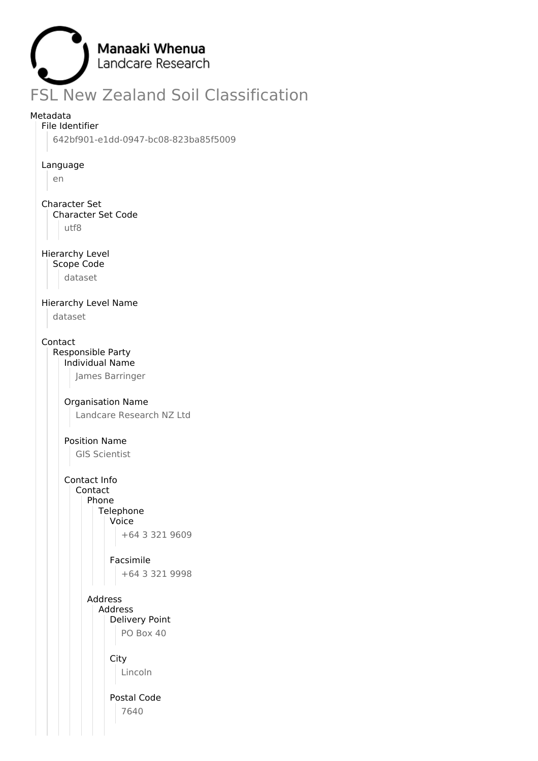

## Metadata

File Identifier

642bf901-e1dd-0947-bc08-823ba85f5009

#### Language

en

## Character Set

Character Set Code

utf8

## Hierarchy Level

Scope Code

dataset

## Hierarchy Level Name

dataset

## Contact

Responsible Party Individual Name

James Barringer

## Organisation Name

Landcare Research NZ Ltd

# Position Name

GIS Scientist

## Contact Info

Contact Phone Telephone Voice +64 3 321 9609

## Facsimile

+64 3 321 9998

Address Address Delivery Point PO Box 40

City

Lincoln

Postal Code 7640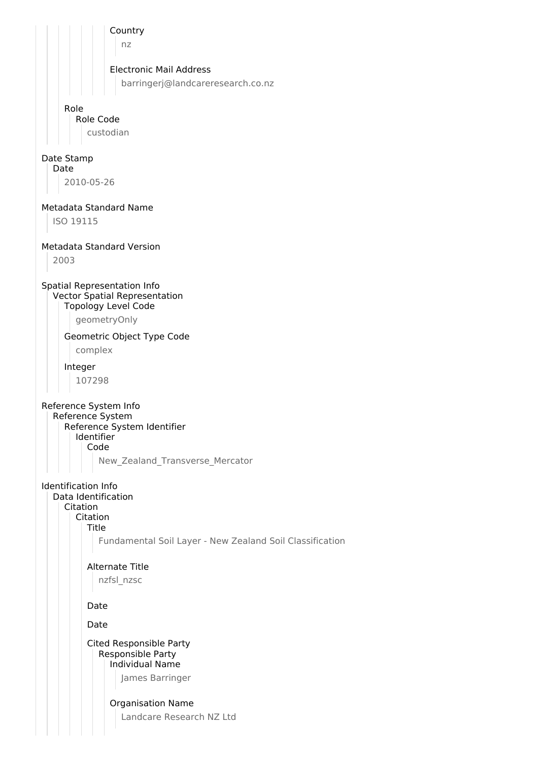Country nz Electronic Mail Address barringerj@landcareresearch.co.nz Role Role Code custodian Date Stamp Date 2010-05-26 Metadata Standard Name ISO 19115 Metadata Standard Version 2003 Spatial Representation Info Vector Spatial Representation Topology Level Code geometryOnly Geometric Object Type Code complex Integer 107298 Reference System Info Reference System Reference System Identifier Identifier Code New\_Zealand\_Transverse\_Mercator Identification Info Data Identification Citation Citation Title Fundamental Soil Layer - New Zealand Soil Classification Alternate Title nzfsl\_nzsc Date Date Cited Responsible Party Responsible Party Individual Name James Barringer Organisation Name Landcare Research NZ Ltd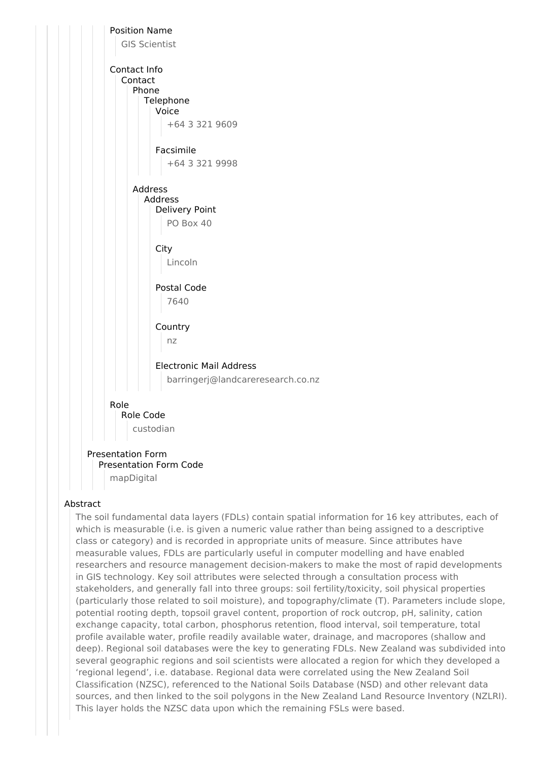

## Abstract

The soil fundamental data layers (FDLs) contain spatial information for 16 key attributes, each of which is measurable (i.e. is given a numeric value rather than being assigned to a descriptive class or category) and is recorded in appropriate units of measure. Since attributes have measurable values, FDLs are particularly useful in computer modelling and have enabled researchers and resource management decision-makers to make the most of rapid developments in GIS technology. Key soil attributes were selected through a consultation process with stakeholders, and generally fall into three groups: soil fertility/toxicity, soil physical properties (particularly those related to soil moisture), and topography/climate (T). Parameters include slope, potential rooting depth, topsoil gravel content, proportion of rock outcrop, pH, salinity, cation exchange capacity, total carbon, phosphorus retention, flood interval, soil temperature, total profile available water, profile readily available water, drainage, and macropores (shallow and deep). Regional soil databases were the key to generating FDLs. New Zealand was subdivided into several geographic regions and soil scientists were allocated a region for which they developed a 'regional legend', i.e. database. Regional data were correlated using the New Zealand Soil Classification (NZSC), referenced to the National Soils Database (NSD) and other relevant data sources, and then linked to the soil polygons in the New Zealand Land Resource Inventory (NZLRI). This layer holds the NZSC data upon which the remaining FSLs were based.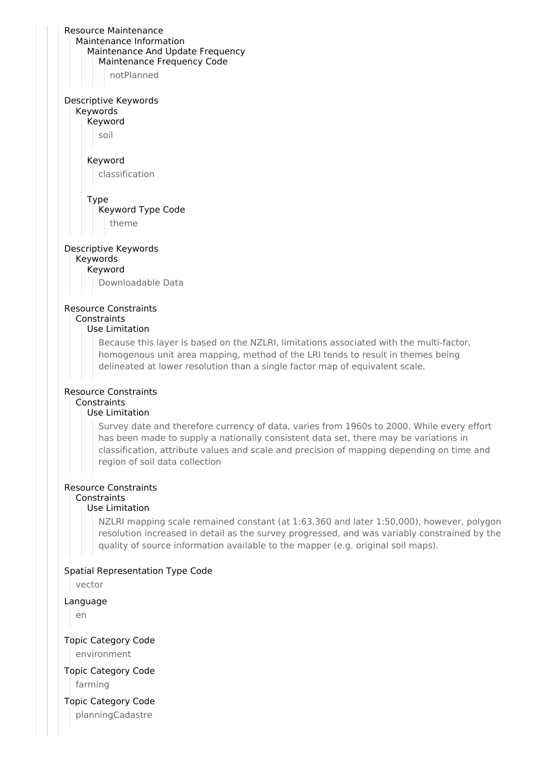|                                            | Resource Maintenance                                                                         |
|--------------------------------------------|----------------------------------------------------------------------------------------------|
|                                            | Maintenance Information                                                                      |
|                                            | Maintenance And Update Frequency<br>Maintenance Frequency Code                               |
|                                            | notPlanned                                                                                   |
|                                            |                                                                                              |
| Descriptive Keywords                       |                                                                                              |
| Keywords                                   |                                                                                              |
| Keyword                                    |                                                                                              |
| soil                                       |                                                                                              |
| Keyword                                    |                                                                                              |
|                                            | classification                                                                               |
|                                            |                                                                                              |
| Type                                       |                                                                                              |
|                                            | Keyword Type Code                                                                            |
|                                            | theme                                                                                        |
| Descriptive Keywords                       |                                                                                              |
| Keywords                                   |                                                                                              |
| Keyword                                    |                                                                                              |
|                                            | Downloadable Data                                                                            |
|                                            |                                                                                              |
| <b>Resource Constraints</b><br>Constraints |                                                                                              |
|                                            | Use Limitation                                                                               |
|                                            | Because this layer is based on the NZLRI, limitations associated with the multi-factor,      |
|                                            | homogenous unit area mapping, method of the LRI tends to result in themes being              |
|                                            | delineated at lower resolution than a single factor map of equivalent scale.                 |
|                                            |                                                                                              |
| <b>Resource Constraints</b><br>Constraints |                                                                                              |
|                                            | Use Limitation                                                                               |
|                                            | Survey date and therefore currency of data, varies from 1960s to 2000. While every effort    |
|                                            | has been made to supply a nationally consistent data set, there may be variations in         |
|                                            | classification, attribute values and scale and precision of mapping depending on time and    |
|                                            | region of soil data collection                                                               |
|                                            | <b>Resource Constraints</b>                                                                  |
| Constraints                                |                                                                                              |
|                                            | Use Limitation                                                                               |
|                                            | NZLRI mapping scale remained constant (at 1:63,360 and later 1:50,000), however, polygon     |
|                                            | resolution increased in detail as the survey progressed, and was variably constrained by the |
|                                            | quality of source information available to the mapper (e.g. original soil maps).             |
|                                            | Spatial Representation Type Code                                                             |
| vector                                     |                                                                                              |
|                                            |                                                                                              |
| Language                                   |                                                                                              |
| en                                         |                                                                                              |
| <b>Topic Category Code</b>                 |                                                                                              |
| environment                                |                                                                                              |
| <b>Topic Category Code</b>                 |                                                                                              |
| farming                                    |                                                                                              |
|                                            |                                                                                              |

Topic Category Code

planningCadastre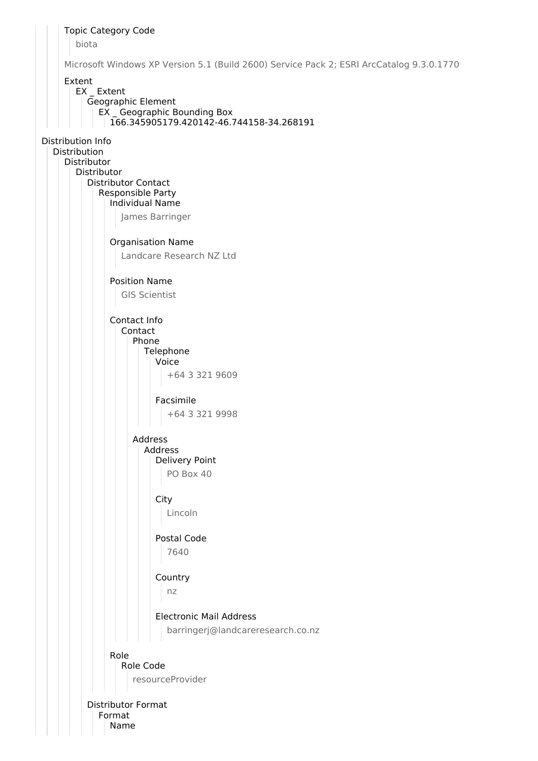